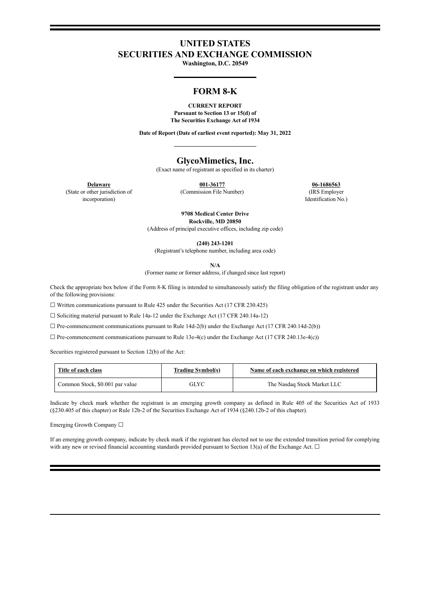# **UNITED STATES SECURITIES AND EXCHANGE COMMISSION**

**Washington, D.C. 20549**

## **FORM 8-K**

#### **CURRENT REPORT Pursuant to Section 13 or 15(d) of**

**The Securities Exchange Act of 1934**

**Date of Report (Date of earliest event reported): May 31, 2022**

#### **GlycoMimetics, Inc.**

(Exact name of registrant as specified in its charter)

**Delaware 001-36177 06-1686563** (Commission File Number) (IRS Employer

Identification No.)

(State or other jurisdiction of incorporation)

> **9708 Medical Center Drive Rockville, MD 20850**

(Address of principal executive offices, including zip code)

**(240) 243-1201**

(Registrant's telephone number, including area code)

**N/A**

(Former name or former address, if changed since last report)

Check the appropriate box below if the Form 8-K filing is intended to simultaneously satisfy the filing obligation of the registrant under any of the following provisions:

☐ Written communications pursuant to Rule 425 under the Securities Act (17 CFR 230.425)

☐ Soliciting material pursuant to Rule 14a-12 under the Exchange Act (17 CFR 240.14a-12)

 $\Box$  Pre-commencement communications pursuant to Rule 14d-2(b) under the Exchange Act (17 CFR 240.14d-2(b))

 $\Box$  Pre-commencement communications pursuant to Rule 13e-4(c) under the Exchange Act (17 CFR 240.13e-4(c))

Securities registered pursuant to Section 12(b) of the Act:

| Title of each class             | <b>Trading Symbol(s)</b> | Name of each exchange on which registered |
|---------------------------------|--------------------------|-------------------------------------------|
| Common Stock, \$0.001 par value | GLYC                     | The Nasdaq Stock Market LLC               |

Indicate by check mark whether the registrant is an emerging growth company as defined in Rule 405 of the Securities Act of 1933 (§230.405 of this chapter) or Rule 12b-2 of the Securities Exchange Act of 1934 (§240.12b-2 of this chapter).

Emerging Growth Company ☐

If an emerging growth company, indicate by check mark if the registrant has elected not to use the extended transition period for complying with any new or revised financial accounting standards provided pursuant to Section 13(a) of the Exchange Act.  $\Box$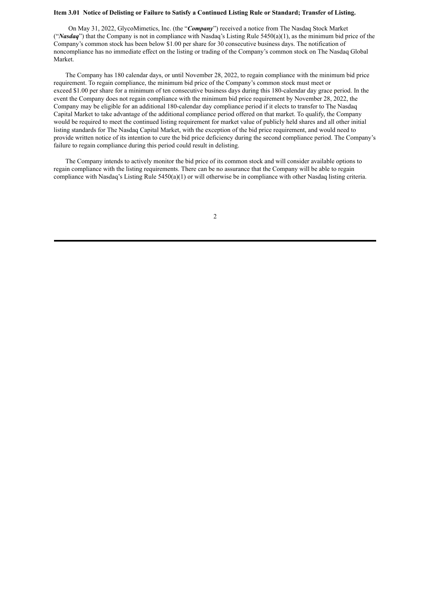#### Item 3.01 Notice of Delisting or Failure to Satisfy a Continued Listing Rule or Standard; Transfer of Listing.

On May 31, 2022, GlycoMimetics, Inc. (the "*Company*") received a notice from The Nasdaq Stock Market ("*Nasdaq*") that the Company is not in compliance with Nasdaq's Listing Rule 5450(a)(1), as the minimum bid price of the Company's common stock has been below \$1.00 per share for 30 consecutive business days. The notification of noncompliance has no immediate effect on the listing or trading of the Company's common stock on The Nasdaq Global Market.

The Company has 180 calendar days, or until November 28, 2022, to regain compliance with the minimum bid price requirement. To regain compliance, the minimum bid price of the Company's common stock must meet or exceed \$1.00 per share for a minimum of ten consecutive business days during this 180-calendar day grace period. In the event the Company does not regain compliance with the minimum bid price requirement by November 28, 2022, the Company may be eligible for an additional 180-calendar day compliance period if it elects to transfer to The Nasdaq Capital Market to take advantage of the additional compliance period offered on that market. To qualify, the Company would be required to meet the continued listing requirement for market value of publicly held shares and all other initial listing standards for The Nasdaq Capital Market, with the exception of the bid price requirement, and would need to provide written notice of its intention to cure the bid price deficiency during the second compliance period. The Company's failure to regain compliance during this period could result in delisting.

The Company intends to actively monitor the bid price of its common stock and will consider available options to regain compliance with the listing requirements. There can be no assurance that the Company will be able to regain compliance with Nasdaq's Listing Rule 5450(a)(1) or will otherwise be in compliance with other Nasdaq listing criteria.

2